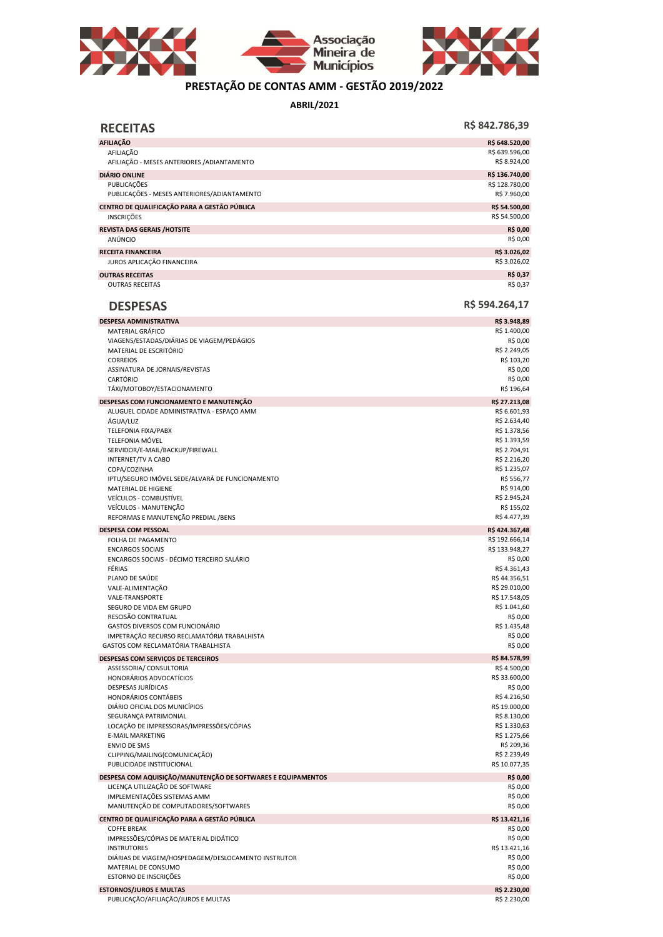



## **PRESTAÇÃO DE CONTAS AMM - GESTÃO 2019/2022**

**ABRIL/2021**

| <b>RECEITAS</b>                                                                                | R\$ 842.786,39                 |
|------------------------------------------------------------------------------------------------|--------------------------------|
| <b>AFILIAÇÃO</b>                                                                               | R\$ 648.520,00                 |
| AFILIAÇÃO<br>AFILIAÇÃO - MESES ANTERIORES / ADIANTAMENTO                                       | R\$ 639.596,00<br>R\$ 8.924,00 |
| <b>DIÁRIO ONLINE</b>                                                                           | R\$ 136.740,00                 |
| PUBLICAÇÕES<br>PUBLICAÇÕES - MESES ANTERIORES/ADIANTAMENTO                                     | R\$ 128.780,00<br>R\$ 7.960,00 |
| CENTRO DE QUALIFICAÇÃO PARA A GESTÃO PÚBLICA<br><b>INSCRIÇÕES</b>                              | R\$ 54.500,00<br>R\$ 54.500,00 |
| <b>REVISTA DAS GERAIS /HOTSITE</b><br>ANÚNCIO                                                  | <b>R\$ 0,00</b><br>R\$ 0,00    |
| <b>RECEITA FINANCEIRA</b><br>JUROS APLICAÇÃO FINANCEIRA                                        | R\$ 3.026,02<br>R\$ 3.026,02   |
| <b>OUTRAS RECEITAS</b>                                                                         | R\$ 0,37                       |
| <b>OUTRAS RECEITAS</b>                                                                         | R\$ 0,37                       |
| <b>DESPESAS</b>                                                                                | R\$ 594.264,17                 |
| <b>DESPESA ADMINISTRATIVA</b>                                                                  | R\$ 3.948,89                   |
| MATERIAL GRÁFICO<br>VIAGENS/ESTADAS/DIÁRIAS DE VIAGEM/PEDÁGIOS                                 | R\$ 1.400,00<br>R\$ 0,00       |
| MATERIAL DE ESCRITÓRIO                                                                         | R\$ 2.249,05                   |
| <b>CORREIOS</b>                                                                                | R\$ 103,20                     |
| ASSINATURA DE JORNAIS/REVISTAS                                                                 | R\$ 0,00                       |
| CARTÓRIO                                                                                       | R\$ 0,00                       |
| TÁXI/MOTOBOY/ESTACIONAMENTO                                                                    | R\$ 196,64                     |
| DESPESAS COM FUNCIONAMENTO E MANUTENÇÃO                                                        | R\$ 27.213,08                  |
| ALUGUEL CIDADE ADMINISTRATIVA - ESPAÇO AMM                                                     | R\$ 6.601,93                   |
| ÁGUA/LUZ<br>TELEFONIA FIXA/PABX                                                                | R\$ 2.634,40<br>R\$ 1.378,56   |
| TELEFONIA MÓVEL                                                                                | R\$ 1.393,59                   |
| SERVIDOR/E-MAIL/BACKUP/FIREWALL                                                                | R\$ 2.704,91                   |
| INTERNET/TV A CABO                                                                             | R\$ 2.216,20                   |
| COPA/COZINHA                                                                                   | R\$ 1.235,07                   |
| IPTU/SEGURO IMÓVEL SEDE/ALVARÁ DE FUNCIONAMENTO                                                | R\$ 556,77                     |
| MATERIAL DE HIGIENE                                                                            | R\$ 914,00                     |
| VEÍCULOS - COMBUSTÍVEL<br>VEÍCULOS - MANUTENÇÃO                                                | R\$ 2.945,24<br>R\$ 155,02     |
| REFORMAS E MANUTENÇÃO PREDIAL / BENS                                                           | R\$4.477,39                    |
| <b>DESPESA COM PESSOAL</b>                                                                     | R\$424.367,48                  |
| FOLHA DE PAGAMENTO                                                                             | R\$ 192.666,14                 |
| <b>ENCARGOS SOCIAIS</b>                                                                        | R\$ 133.948,27                 |
| ENCARGOS SOCIAIS - DÉCIMO TERCEIRO SALÁRIO                                                     | R\$ 0,00                       |
| FÉRIAS                                                                                         | R\$4.361,43                    |
| PLANO DE SAÚDE                                                                                 | R\$44.356,51                   |
| VALE-ALIMENTAÇÃO<br><b>VALE-TRANSPORTE</b>                                                     | R\$ 29.010,00<br>R\$ 17.548,05 |
| SEGURO DE VIDA EM GRUPO                                                                        | R\$ 1.041,60                   |
| RESCISÃO CONTRATUAL                                                                            | R\$ 0,00                       |
| GASTOS DIVERSOS COM FUNCIONÁRIO                                                                | R\$ 1.435,48                   |
| IMPETRAÇÃO RECURSO RECLAMATÓRIA TRABALHISTA                                                    | R\$ 0,00                       |
| GASTOS COM RECLAMATÓRIA TRABALHISTA                                                            | R\$ 0,00                       |
| DESPESAS COM SERVIÇOS DE TERCEIROS                                                             | R\$ 84.578,99                  |
| ASSESSORIA/ CONSULTORIA                                                                        | R\$4.500,00                    |
| HONORÁRIOS ADVOCATÍCIOS<br>DESPESAS JURÍDICAS                                                  | R\$ 33.600,00<br>R\$ 0,00      |
| HONORÁRIOS CONTÁBEIS                                                                           | R\$4.216,50                    |
| DIÁRIO OFICIAL DOS MUNICÍPIOS                                                                  | R\$ 19.000,00                  |
| SEGURANÇA PATRIMONIAL                                                                          | R\$ 8.130,00                   |
| LOCAÇÃO DE IMPRESSORAS/IMPRESSÕES/CÓPIAS                                                       | R\$ 1.330,63                   |
| E-MAIL MARKETING                                                                               | R\$ 1.275,66                   |
| <b>ENVIO DE SMS</b>                                                                            | R\$ 209,36                     |
| CLIPPING/MAILING(COMUNICAÇÃO)<br>PUBLICIDADE INSTITUCIONAL                                     | R\$ 2.239,49                   |
|                                                                                                | R\$ 10.077,35                  |
| DESPESA COM AQUISIÇÃO/MANUTENÇÃO DE SOFTWARES E EQUIPAMENTOS<br>LICENÇA UTILIZAÇÃO DE SOFTWARE | R\$ 0,00<br>R\$ 0,00           |
| IMPLEMENTAÇÕES SISTEMAS AMM                                                                    | R\$ 0,00                       |
| MANUTENÇÃO DE COMPUTADORES/SOFTWARES                                                           | R\$ 0,00                       |
| CENTRO DE QUALIFICAÇÃO PARA A GESTÃO PÚBLICA                                                   | R\$ 13.421,16                  |
| <b>COFFE BREAK</b>                                                                             | R\$ 0,00                       |
| IMPRESSÕES/CÓPIAS DE MATERIAL DIDÁTICO                                                         | R\$ 0,00                       |
| <b>INSTRUTORES</b>                                                                             | R\$ 13.421,16                  |
| DIÁRIAS DE VIAGEM/HOSPEDAGEM/DESLOCAMENTO INSTRUTOR                                            | R\$ 0,00                       |
| MATERIAL DE CONSUMO                                                                            | R\$ 0,00                       |
| ESTORNO DE INSCRIÇÕES                                                                          | R\$ 0,00                       |
| <b>ESTORNOS/JUROS E MULTAS</b>                                                                 | R\$ 2.230,00                   |
| PUBLICAÇÃO/AFILIAÇÃO/JUROS E MULTAS                                                            | R\$ 2.230,00                   |